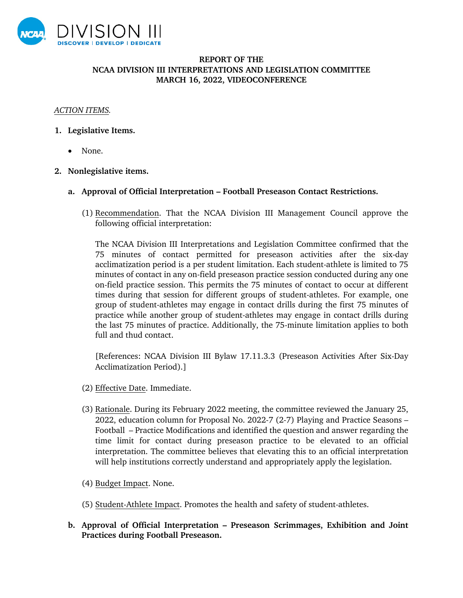

## **REPORT OF THE NCAA DIVISION III INTERPRETATIONS AND LEGISLATION COMMITTEE MARCH 16, 2022, VIDEOCONFERENCE**

## *ACTION ITEMS.*

- **1. Legislative Items.**
	- None.
- **2. Nonlegislative items.**
	- **a. Approval of Official Interpretation Football Preseason Contact Restrictions.** 
		- (1) Recommendation. That the NCAA Division III Management Council approve the following official interpretation:

The NCAA Division III Interpretations and Legislation Committee confirmed that the 75 minutes of contact permitted for preseason activities after the six-day acclimatization period is a per student limitation. Each student-athlete is limited to 75 minutes of contact in any on-field preseason practice session conducted during any one on-field practice session. This permits the 75 minutes of contact to occur at different times during that session for different groups of student-athletes. For example, one group of student-athletes may engage in contact drills during the first 75 minutes of practice while another group of student-athletes may engage in contact drills during the last 75 minutes of practice. Additionally, the 75-minute limitation applies to both full and thud contact.

[References: NCAA Division III Bylaw 17.11.3.3 (Preseason Activities After Six-Day Acclimatization Period).]

- (2) Effective Date. Immediate.
- (3) Rationale. During its February 2022 meeting, the committee reviewed the January 25, 2022, education column for Proposal No. 2022-7 (2-7) Playing and Practice Seasons – Football – Practice Modifications and identified the question and answer regarding the time limit for contact during preseason practice to be elevated to an official interpretation. The committee believes that elevating this to an official interpretation will help institutions correctly understand and appropriately apply the legislation.
- (4) Budget Impact. None.
- (5) Student-Athlete Impact. Promotes the health and safety of student-athletes.
- **b. Approval of Official Interpretation Preseason Scrimmages, Exhibition and Joint Practices during Football Preseason.**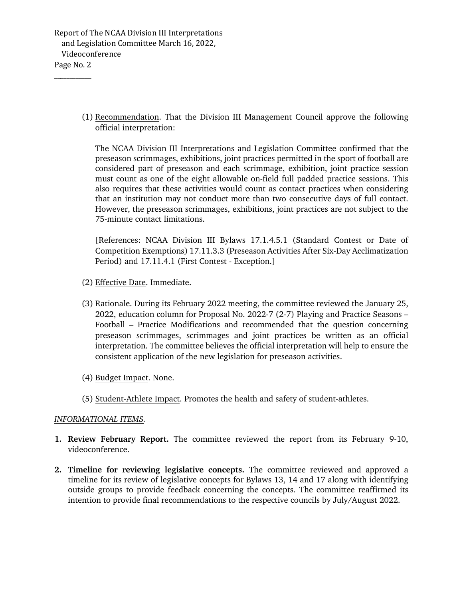Report of The NCAA Division III Interpretations and Legislation Committee March 16, 2022, Videoconference Page No. 2

\_\_\_\_\_\_\_\_\_\_\_\_

(1) Recommendation. That the Division III Management Council approve the following official interpretation:

The NCAA Division III Interpretations and Legislation Committee confirmed that the preseason scrimmages, exhibitions, joint practices permitted in the sport of football are considered part of preseason and each scrimmage, exhibition, joint practice session must count as one of the eight allowable on-field full padded practice sessions. This also requires that these activities would count as contact practices when considering that an institution may not conduct more than two consecutive days of full contact. However, the preseason scrimmages, exhibitions, joint practices are not subject to the 75-minute contact limitations.

[References: NCAA Division III Bylaws 17.1.4.5.1 (Standard Contest or Date of Competition Exemptions) 17.11.3.3 (Preseason Activities After Six-Day Acclimatization Period) and 17.11.4.1 (First Contest - Exception.]

- (2) Effective Date. Immediate.
- (3) Rationale. During its February 2022 meeting, the committee reviewed the January 25, 2022, education column for Proposal No. 2022-7 (2-7) Playing and Practice Seasons – Football – Practice Modifications and recommended that the question concerning preseason scrimmages, scrimmages and joint practices be written as an official interpretation. The committee believes the official interpretation will help to ensure the consistent application of the new legislation for preseason activities.
- (4) Budget Impact. None.
- (5) Student-Athlete Impact. Promotes the health and safety of student-athletes.

## *INFORMATIONAL ITEMS.*

- **1. Review February Report.** The committee reviewed the report from its February 9-10, videoconference.
- **2. Timeline for reviewing legislative concepts.** The committee reviewed and approved a timeline for its review of legislative concepts for Bylaws 13, 14 and 17 along with identifying outside groups to provide feedback concerning the concepts. The committee reaffirmed its intention to provide final recommendations to the respective councils by July/August 2022.